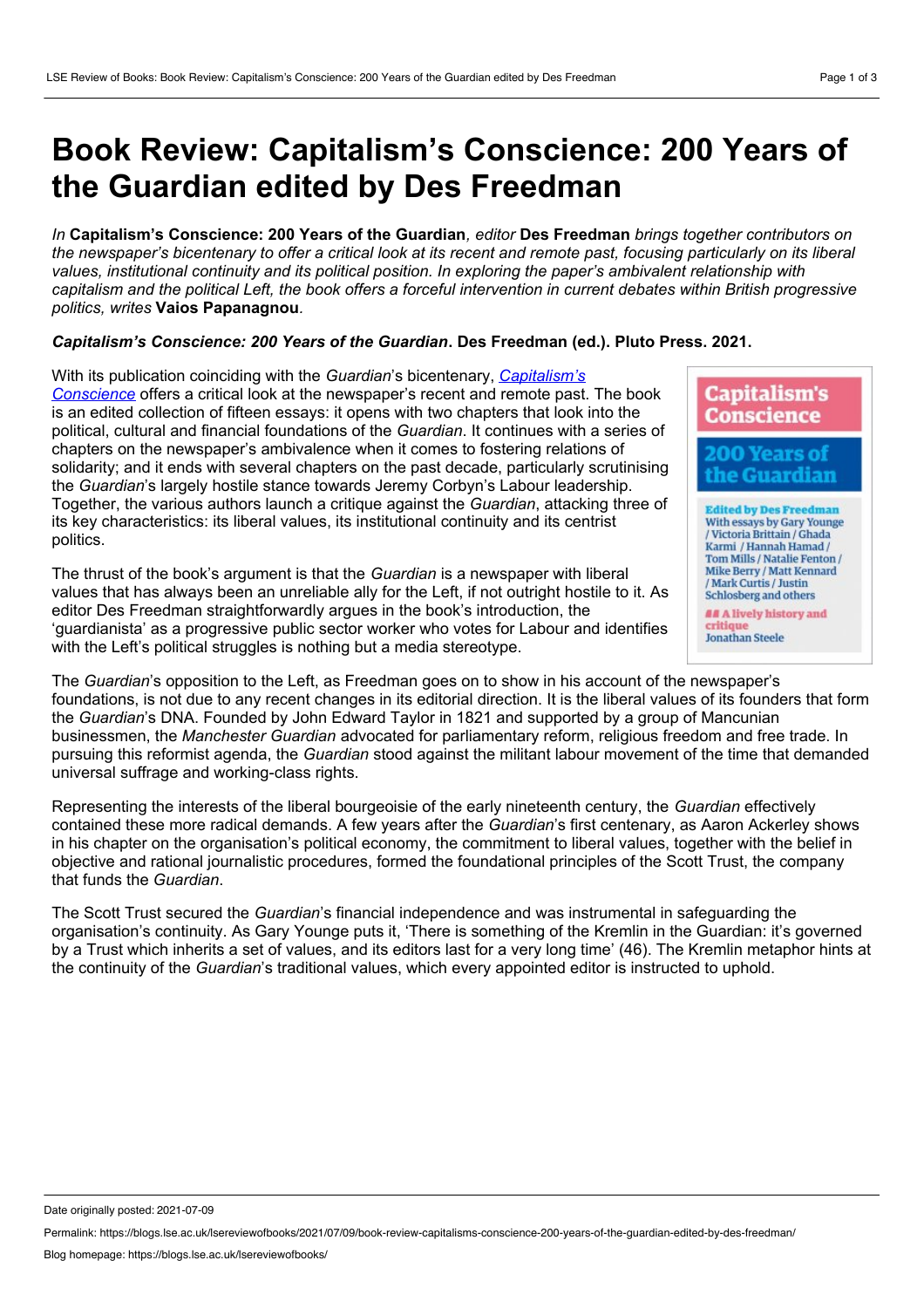## **Book Review: Capitalism's Conscience: 200 Years of the Guardian edited by Des Freedman**

*In* **Capitalism's Conscience: 200 Years of the Guardian***, editor* **Des Freedman** *brings together contributors on* the newspaper's bicentenary to offer a critical look at its recent and remote past, focusing particularly on its liberal *values, institutional continuity and its political position. In exploring the paper's ambivalent relationship with* capitalism and the political Left, the book offers a forceful intervention in current debates within British progressive *politics, writes* **Vaios Papanagnou***.*

## *Capitalism's Conscience: 200 Years of the Guardian***. Des Freedman (ed.). Pluto Press. 2021.**

With its publication coinciding with the *Guardian*'s bicentenary, *Capitalism's Conscience* offers a critical look at the [newspaper's](https://www.plutobooks.com/9780745343358/capitalisms-conscience/) recent and remote past. The book is an edited collection of fifteen essays: it opens with two chapters that look into the political, cultural and financial foundations of the *Guardian*. It continues with a series of chapters on the newspaper's ambivalence when it comes to fostering relations of solidarity; and it ends with several chapters on the past decade, particularly scrutinising the *Guardian*'s largely hostile stance towards Jeremy Corbyn's Labour leadership. Together, the various authors launch a critique against the *Guardian*, attacking three of its key characteristics: its liberal values, its institutional continuity and its centrist politics.

The thrust of the book's argument is that the *Guardian* is a newspaper with liberal values that has always been an unreliable ally for the Left, if not outright hostile to it. As editor Des Freedman straightforwardly argues in the book's introduction, the 'guardianista' as a progressive public sector worker who votes for Labour and identifies with the Left's political struggles is nothing but a media stereotype.



The *Guardian*'s opposition to the Left, as Freedman goes on to show in his account of the newspaper's foundations, is not due to any recent changes in its editorial direction. It is the liberal values of its founders that form the *Guardian*'s DNA. Founded by John Edward Taylor in 1821 and supported by a group of Mancunian businessmen, the *Manchester Guardian* advocated for parliamentary reform, religious freedom and free trade. In pursuing this reformist agenda, the *Guardian* stood against the militant labour movement of the time that demanded universal suffrage and working-class rights.

Representing the interests of the liberal bourgeoisie of the early nineteenth century, the *Guardian* effectively contained these more radical demands. A few years after the *Guardian*'s first centenary, as Aaron Ackerley shows in his chapter on the organisation's political economy, the commitment to liberal values, together with the belief in objective and rational journalistic procedures, formed the foundational principles of the Scott Trust, the company that funds the *Guardian*.

The Scott Trust secured the *Guardian*'s financial independence and was instrumental in safeguarding the organisation's continuity. As Gary Younge puts it, 'There is something of the Kremlin in the Guardian: it's governed by a Trust which inherits a set of values, and its editors last for a very long time' (46). The Kremlin metaphor hints at the continuity of the *Guardian*'s traditional values, which every appointed editor is instructed to uphold.

Date originally posted: 2021-07-09

Permalink: https://blogs.lse.ac.uk/lsereviewofbooks/2021/07/09/book-review-capitalisms-conscience-200-years-of-the-guardian-edited-by-des-freedman/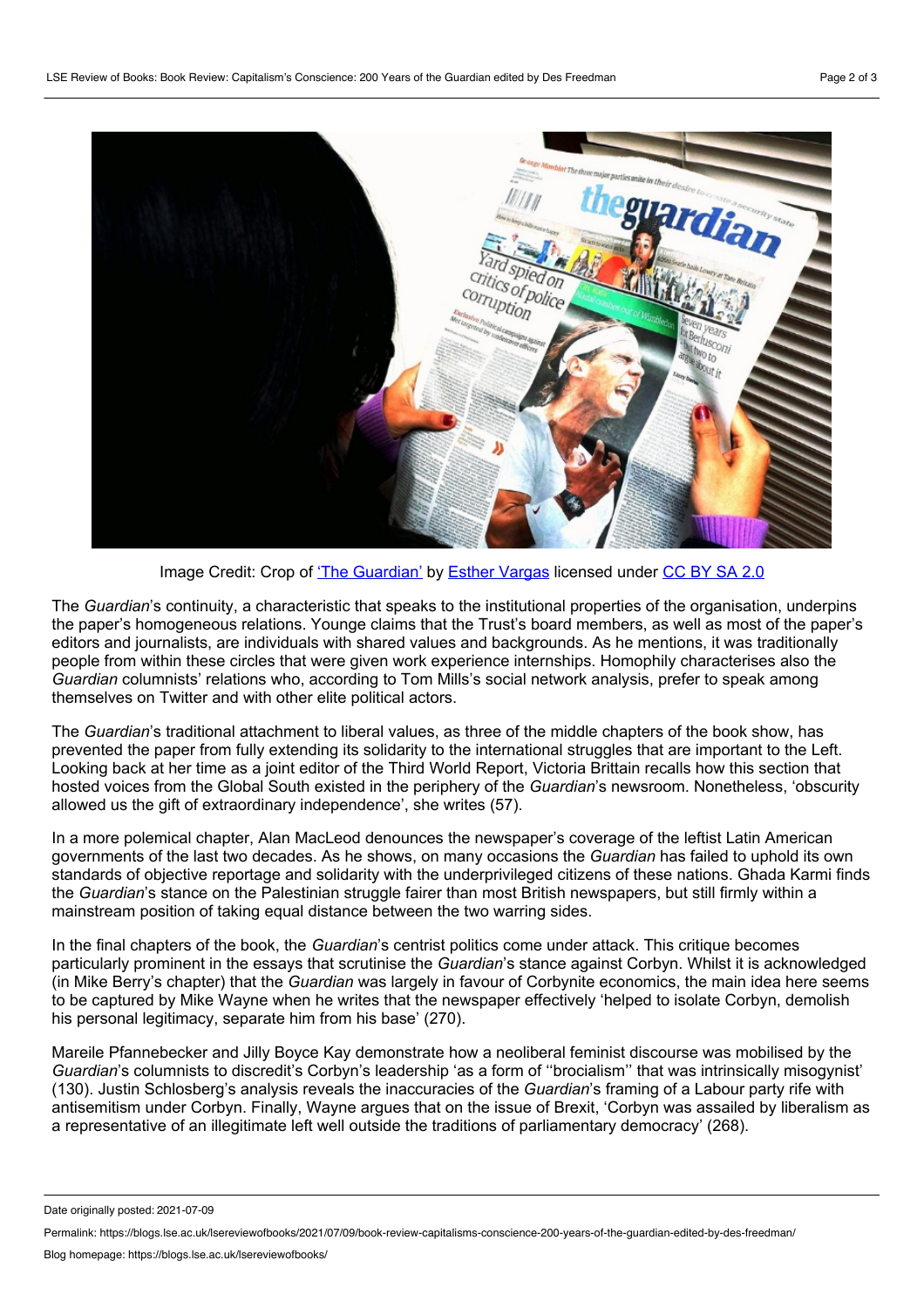

Image Credit: Crop of 'The [Guardian'](https://flickr.com/photos/esthervargasc/9204233058/) by Esther [Vargas](https://flickr.com/photos/esthervargasc/) licensed under [CC](https://creativecommons.org/licenses/by-sa/2.0/) BY SA 2.0

The *Guardian*'s continuity, a characteristic that speaks to the institutional properties of the organisation, underpins the paper's homogeneous relations. Younge claims that the Trust's board members, as well as most of the paper's editors and journalists, are individuals with shared values and backgrounds. As he mentions, it was traditionally people from within these circles that were given work experience internships. Homophily characterises also the *Guardian* columnists' relations who, according to Tom Mills's social network analysis, prefer to speak among themselves on Twitter and with other elite political actors.

The *Guardian*'s traditional attachment to liberal values, as three of the middle chapters of the book show, has prevented the paper from fully extending its solidarity to the international struggles that are important to the Left. Looking back at her time as a joint editor of the Third World Report, Victoria Brittain recalls how this section that hosted voices from the Global South existed in the periphery of the *Guardian*'s newsroom. Nonetheless, 'obscurity allowed us the gift of extraordinary independence', she writes (57).

In a more polemical chapter, Alan MacLeod denounces the newspaper's coverage of the leftist Latin American governments of the last two decades. As he shows, on many occasions the *Guardian* has failed to uphold its own standards of objective reportage and solidarity with the underprivileged citizens of these nations. Ghada Karmi finds the *Guardian*'s stance on the Palestinian struggle fairer than most British newspapers, but still firmly within a mainstream position of taking equal distance between the two warring sides.

In the final chapters of the book, the *Guardian*'s centrist politics come under attack. This critique becomes particularly prominent in the essays that scrutinise the *Guardian*'s stance against Corbyn. Whilst it is acknowledged (in Mike Berry's chapter) that the *Guardian* was largely in favour of Corbynite economics, the main idea here seems to be captured by Mike Wayne when he writes that the newspaper effectively 'helped to isolate Corbyn, demolish his personal legitimacy, separate him from his base' (270).

Mareile Pfannebecker and Jilly Boyce Kay demonstrate how a neoliberal feminist discourse was mobilised by the *Guardian*'s columnists to discredit's Corbyn's leadership 'as a form of ''brocialism'' that was intrinsically misogynist' (130). Justin Schlosberg's analysis reveals the inaccuracies of the *Guardian*'s framing of a Labour party rife with antisemitism under Corbyn. Finally, Wayne argues that on the issue of Brexit, 'Corbyn was assailed by liberalism as a representative of an illegitimate left well outside the traditions of parliamentary democracy' (268).

Date originally posted: 2021-07-09

Permalink: https://blogs.lse.ac.uk/lsereviewofbooks/2021/07/09/book-review-capitalisms-conscience-200-years-of-the-guardian-edited-by-des-freedman/